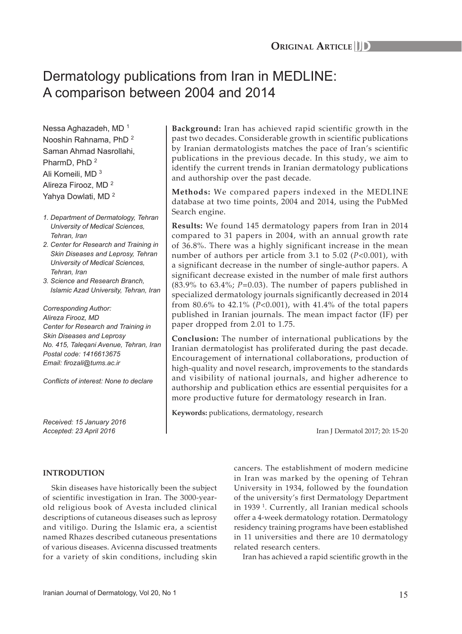# Dermatology publications from Iran in MEDLINE: A comparison between 2004 and 2014

Nessa Aghazadeh, MD<sup>1</sup> Nooshin Rahnama, PhD <sup>2</sup> Saman Ahmad Nasrollahi, PharmD, PhD<sup>2</sup> Ali Komeili, MD <sup>3</sup> Alireza Firooz, MD <sup>2</sup> Yahya Dowlati, MD <sup>2</sup>

- *1. Department of Dermatology, Tehran University of Medical Sciences, Tehran, Iran*
- *2. Center for Research and Training in Skin Diseases and Leprosy, Tehran University of Medical Sciences, Tehran, Iran*
- *3. Science and Research Branch, Islamic Azad University, Tehran, Iran*

*Corresponding Author: Alireza Firooz, MD Center for Research and Training in Skin Diseases and Leprosy No. 415, Taleqani Avenue, Tehran, Iran Postal code: 1416613675 Email: firozali@tums.ac.ir*

*Conflicts of interest: None to declare*

*Received: 15 January 2016 Accepted: 23 April 2016*

## **Background:** Iran has achieved rapid scientific growth in the past two decades. Considerable growth in scientific publications by Iranian dermatologists matches the pace of Iran's scientific publications in the previous decade. In this study, we aim to identify the current trends in Iranian dermatology publications and authorship over the past decade.

**Methods:** We compared papers indexed in the MEDLINE database at two time points, 2004 and 2014, using the PubMed Search engine.

**Results:** We found 145 dermatology papers from Iran in 2014 compared to 31 papers in 2004, with an annual growth rate of 36.8%. There was a highly significant increase in the mean number of authors per article from 3.1 to 5.02 (*P*<0.001), with a significant decrease in the number of single-author papers. A significant decrease existed in the number of male first authors (83.9% to 63.4%; *P*=0.03). The number of papers published in specialized dermatology journals significantly decreased in 2014 from 80.6% to 42.1% (*P*<0.001), with 41.4% of the total papers published in Iranian journals. The mean impact factor (IF) per paper dropped from 2.01 to 1.75.

**Conclusion:** The number of international publications by the Iranian dermatologist has proliferated during the past decade. Encouragement of international collaborations, production of high-quality and novel research, improvements to the standards and visibility of national journals, and higher adherence to authorship and publication ethics are essential perquisites for a more productive future for dermatology research in Iran.

**Keywords:** publications, dermatology, research

Iran J Dermatol 2017; 20: 15-20

# **INTRODUTION**

Skin diseases have historically been the subject of scientific investigation in Iran. The 3000-yearold religious book of Avesta included clinical descriptions of cutaneous diseases such as leprosy and vitiligo. During the Islamic era, a scientist named Rhazes described cutaneous presentations of various diseases. Avicenna discussed treatments for a variety of skin conditions, including skin cancers. The establishment of modern medicine in Iran was marked by the opening of Tehran University in 1934, followed by the foundation of the university's first Dermatology Department in 1939<sup>1</sup>. Currently, all Iranian medical schools offer a 4-week dermatology rotation. Dermatology residency training programs have been established in 11 universities and there are 10 dermatology related research centers.

Iran has achieved a rapid scientific growth in the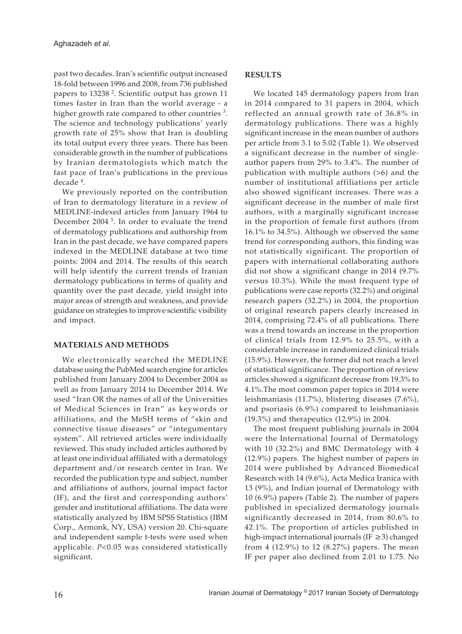past two decades. Iran's scientific output increased 18-fold between 1996 and 2008, from 736 published papers to 13238 <sup>2</sup> . Scientific output has grown 11 times faster in Iran than the world average - a higher growth rate compared to other countries  $3$ . The science and technology publications' yearly growth rate of 25% show that Iran is doubling its total output every three years. There has been considerable growth in the number of publications by Iranian dermatologists which match the fast pace of Iran's publications in the previous decade <sup>4</sup> .

We previously reported on the contribution of Iran to dermatology literature in a review of MEDLINE-indexed articles from January 1964 to December 2004<sup>5</sup>. In order to evaluate the trend of dermatology publications and authorship from Iran in the past decade, we have compared papers indexed in the MEDLINE database at two time points: 2004 and 2014. The results of this search will help identify the current trends of Iranian dermatology publications in terms of quality and quantity over the past decade, yield insight into major areas of strength and weakness, and provide guidance on strategies to improve scientific visibility and impact.

#### **MATERIALS AND METHODS**

We electronically searched the MEDLINE database using the PubMed search engine for articles published from January 2004 to December 2004 as well as from January 2014 to December 2014. We used "Iran OR the names of all of the Universities of Medical Sciences in Iran" as keywords or affiliations, and the MeSH terms of "skin and connective tissue diseases" or "integumentary system". All retrieved articles were individually reviewed. This study included articles authored by at least one individual affiliated with a dermatology department and/or research center in Iran. We recorded the publication type and subject, number and affiliations of authors, journal impact factor (IF), and the first and corresponding authors' gender and institutional affiliations. The data were statistically analyzed by IBM SPSS Statistics (IBM Corp., Armonk, NY, USA) version 20. Chi-square and independent sample t-tests were used when applicable. *P*<0.05 was considered statistically significant.

### **RESULTS**

We located 145 dermatology papers from Iran in 2014 compared to 31 papers in 2004, which reflected an annual growth rate of 36.8% in dermatology publications. There was a highly significant increase in the mean number of authors per article from 3.1 to 5.02 (Table 1). We observed a significant decrease in the number of singleauthor papers from 29% to 3.4%. The number of publication with multiple authors (>6) and the number of institutional affiliations per article also showed significant increases. There was a significant decrease in the number of male first authors, with a marginally significant increase in the proportion of female first authors (from 16.1% to 34.5%). Although we observed the same trend for corresponding authors, this finding was not statistically significant. The proportion of papers with international collaborating authors did not show a significant change in 2014 (9.7% versus 10.3%). While the most frequent type of publications were case reports (32.2%) and original research papers (32.2%) in 2004, the proportion of original research papers clearly increased in 2014, comprising 72.4% of all publications. There was a trend towards an increase in the proportion of clinical trials from 12.9% to 25.5%, with a considerable increase in randomized clinical trials (15.9%). However, the former did not reach a level of statistical significance. The proportion of review articles showed a significant decrease from 19.3% to 4.1%.The most common paper topics in 2014 were leishmaniasis (11.7%), blistering diseases (7.6%), and psoriasis (6.9%) compared to leishmaniasis (19.3%) and therapeutics (12.9%) in 2004.

The most frequent publishing journals in 2004 were the International Journal of Dermatology with 10 (32.2%) and BMC Dermatology with 4 (12.9%) papers. The highest number of papers in 2014 were published by Advanced Biomedical Research with 14 (9.6%), Acta Medica Iranica with 13 (9%), and Indian journal of Dermatology with 10 (6.9%) papers (Table 2). The number of papers published in specialized dermatology journals significantly decreased in 2014, from 80.6% to 42.1%. The proportion of articles published in high-impact international journals (IF ≥3) changed from 4 (12.9%) to 12 (8.27%) papers. The mean IF per paper also declined from 2.01 to 1.75. No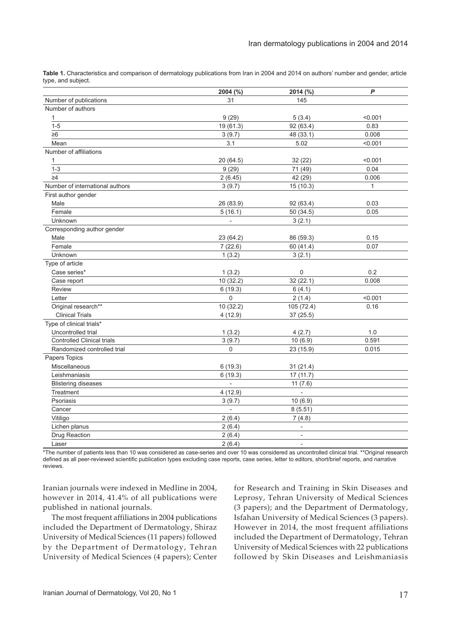**Table 1.** Characteristics and comparison of dermatology publications from Iran in 2004 and 2014 on authors' number and gender, article type, and subject.

|                                   | 2004 (%)                 | 2014 (%)                 | P            |
|-----------------------------------|--------------------------|--------------------------|--------------|
| Number of publications            | 31                       | 145                      |              |
| Number of authors                 |                          |                          |              |
| $\mathbf{1}$                      | 9(29)                    | 5(3.4)                   | < 0.001      |
| $\overline{1} - 5$                | 19 (61.3)                | 92 (63.4)                | 0.83         |
| $\geq 6$                          | 3(9.7)                   | 48 (33.1)                | 0.008        |
| Mean                              | 3.1                      | 5.02                     | < 0.001      |
| Number of affiliations            |                          |                          |              |
| $\mathbf{1}$                      | 20 (64.5)                | 32 (22)                  | < 0.001      |
| $1 - 3$                           | 9(29)                    | 71 (49)                  | 0.04         |
| $\geq 4$                          | 2(6.45)                  | 42 (29)                  | 0.006        |
| Number of international authors   | 3(9.7)                   | 15(10.3)                 | $\mathbf{1}$ |
| First author gender               |                          |                          |              |
| Male                              | 26 (83.9)                | 92 (63.4)                | 0.03         |
| Female                            | 5(16.1)                  | 50(34.5)                 | 0.05         |
| Unknown                           | $\overline{\phantom{0}}$ | 3(2.1)                   |              |
| Corresponding author gender       |                          |                          |              |
| Male                              | 23 (64.2)                | 86 (59.3)                | 0.15         |
| Female                            | 7(22.6)                  | 60 (41.4)                | 0.07         |
| Unknown                           | 1(3.2)                   | 3(2.1)                   |              |
| Type of article                   |                          |                          |              |
| Case series*                      | 1(3.2)                   | 0                        | 0.2          |
| Case report                       | 10 (32.2)                | 32(22.1)                 | 0.008        |
| Review                            | 6(19.3)                  | 6(4.1)                   |              |
| Letter                            | 0                        | 2(1.4)                   | < 0.001      |
| Original research**               | 10(32.2)                 | 105 (72.4)               | 0.16         |
| <b>Clinical Trials</b>            | 4(12.9)                  | 37 (25.5)                |              |
| Type of clinical trials*          |                          |                          |              |
| Uncontrolled trial                | 1(3.2)                   | 4(2.7)                   | 1.0          |
| <b>Controlled Clinical trials</b> | 3(9.7)                   | 10(6.9)                  | 0.591        |
| Randomized controlled trial       | $\mathbf 0$              | 23 (15.9)                | 0.015        |
| Papers Topics                     |                          |                          |              |
| <b>Miscellaneous</b>              | 6(19.3)                  | 31(21.4)                 |              |
| Leishmaniasis                     | 6(19.3)                  | 17(11.7)                 |              |
| <b>Blistering diseases</b>        |                          | 11(7.6)                  |              |
| Treatment                         | 4(12.9)                  | $\overline{\phantom{a}}$ |              |
| Psoriasis                         | 3(9.7)                   | 10(6.9)                  |              |
| Cancer                            | ä,                       | 8(5.51)                  |              |
| Vitiligo                          | 2(6.4)                   | 7(4.8)                   |              |
| Lichen planus                     | 2(6.4)                   | $\overline{\phantom{0}}$ |              |
| Drug Reaction                     | 2(6.4)                   | $\frac{1}{2}$            |              |
| Laser                             | 2(6.4)                   | $\overline{a}$           |              |

\*The number of patients less than 10 was considered as case-series and over 10 was considered as uncontrolled clinical trial. \*\*Original research defined as all peer-reviewed scientific publication types excluding case reports, case series, letter to editors, short/brief reports, and narrative reviews.

Iranian journals were indexed in Medline in 2004, however in 2014, 41.4% of all publications were published in national journals.

The most frequent affiliations in 2004 publications included the Department of Dermatology, Shiraz University of Medical Sciences (11 papers) followed by the Department of Dermatology, Tehran University of Medical Sciences (4 papers); Center

for Research and Training in Skin Diseases and Leprosy, Tehran University of Medical Sciences (3 papers); and the Department of Dermatology, Isfahan University of Medical Sciences (3 papers). However in 2014, the most frequent affiliations included the Department of Dermatology, Tehran University of Medical Sciences with 22 publications followed by Skin Diseases and Leishmaniasis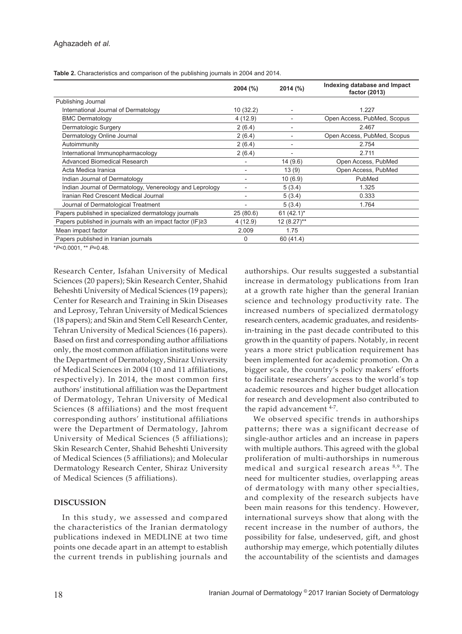**Table 2.** Characteristics and comparison of the publishing journals in 2004 and 2014.

|                                                           | $2004$ (%) | 2014 (%)      | Indexing database and Impact<br>factor (2013) |
|-----------------------------------------------------------|------------|---------------|-----------------------------------------------|
| Publishing Journal                                        |            |               |                                               |
| International Journal of Dermatology                      | 10(32.2)   |               | 1.227                                         |
| <b>BMC Dermatology</b>                                    | 4(12.9)    |               | Open Access, PubMed, Scopus                   |
| Dermatologic Surgery                                      | 2(6.4)     |               | 2.467                                         |
| Dermatology Online Journal                                | 2(6.4)     |               | Open Access, PubMed, Scopus                   |
| Autoimmunity                                              | 2(6.4)     |               | 2.754                                         |
| International Immunopharmacology                          | 2(6.4)     |               | 2.711                                         |
| Advanced Biomedical Research                              |            | 14 (9.6)      | Open Access, PubMed                           |
| Acta Medica Iranica                                       |            | 13(9)         | Open Access, PubMed                           |
| Indian Journal of Dermatology                             |            | 10(6.9)       | PubMed                                        |
| Indian Journal of Dermatology, Venereology and Leprology  |            | 5(3.4)        | 1.325                                         |
| Iranian Red Crescent Medical Journal                      |            | 5(3.4)        | 0.333                                         |
| Journal of Dermatological Treatment                       |            | 5(3.4)        | 1.764                                         |
| Papers published in specialized dermatology journals      | 25(80.6)   | 61 $(42.1)^*$ |                                               |
| Papers published in journals with an impact factor (IF)≥3 | 4(12.9)    | $12(8.27)$ ** |                                               |
| Mean impact factor                                        | 2.009      | 1.75          |                                               |
| Papers published in Iranian journals                      | 0          | 60 (41.4)     |                                               |

\**P*<0.0001, \*\* *P*=0.48.

Research Center, Isfahan University of Medical Sciences (20 papers); Skin Research Center, Shahid Beheshti University of Medical Sciences (19 papers); Center for Research and Training in Skin Diseases and Leprosy, Tehran University of Medical Sciences (18 papers); and Skin and Stem Cell Research Center, Tehran University of Medical Sciences (16 papers). Based on first and corresponding author affiliations only, the most common affiliation institutions were the Department of Dermatology, Shiraz University of Medical Sciences in 2004 (10 and 11 affiliations, respectively). In 2014, the most common first authors' institutional affiliation was the Department of Dermatology, Tehran University of Medical Sciences (8 affiliations) and the most frequent corresponding authors' institutional affiliations were the Department of Dermatology, Jahrom University of Medical Sciences (5 affiliations); Skin Research Center, Shahid Beheshti University of Medical Sciences (5 affiliations); and Molecular Dermatology Research Center, Shiraz University of Medical Sciences (5 affiliations).

#### **DISCUSSION**

In this study, we assessed and compared the characteristics of the Iranian dermatology publications indexed in MEDLINE at two time points one decade apart in an attempt to establish the current trends in publishing journals and authorships. Our results suggested a substantial increase in dermatology publications from Iran at a growth rate higher than the general Iranian science and technology productivity rate. The increased numbers of specialized dermatology research centers, academic graduates, and residentsin-training in the past decade contributed to this growth in the quantity of papers. Notably, in recent years a more strict publication requirement has been implemented for academic promotion. On a bigger scale, the country's policy makers' efforts to facilitate researchers' access to the world's top academic resources and higher budget allocation for research and development also contributed to the rapid advancement <sup>4-7</sup>.

We observed specific trends in authorships patterns; there was a significant decrease of single-author articles and an increase in papers with multiple authors. This agreed with the global proliferation of multi-authorships in numerous medical and surgical research areas 8,9. The need for multicenter studies, overlapping areas of dermatology with many other specialties, and complexity of the research subjects have been main reasons for this tendency. However, international surveys show that along with the recent increase in the number of authors, the possibility for false, undeserved, gift, and ghost authorship may emerge, which potentially dilutes the accountability of the scientists and damages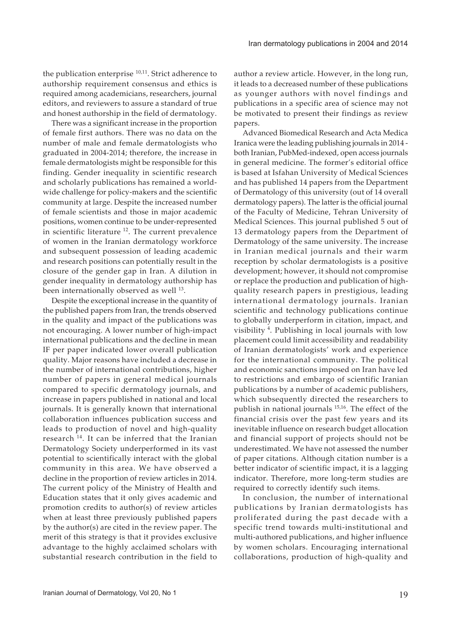the publication enterprise <sup>10,11</sup>. Strict adherence to authorship requirement consensus and ethics is required among academicians, researchers, journal editors, and reviewers to assure a standard of true and honest authorship in the field of dermatology.

There was a significant increase in the proportion of female first authors. There was no data on the number of male and female dermatologists who graduated in 2004-2014; therefore, the increase in female dermatologists might be responsible for this finding. Gender inequality in scientific research and scholarly publications has remained a worldwide challenge for policy-makers and the scientific community at large. Despite the increased number of female scientists and those in major academic positions, women continue to be under-represented in scientific literature<sup>12</sup>. The current prevalence of women in the Iranian dermatology workforce and subsequent possession of leading academic and research positions can potentially result in the closure of the gender gap in Iran. A dilution in gender inequality in dermatology authorship has been internationally observed as well <sup>13</sup>.

Despite the exceptional increase in the quantity of the published papers from Iran, the trends observed in the quality and impact of the publications was not encouraging. A lower number of high-impact international publications and the decline in mean IF per paper indicated lower overall publication quality. Major reasons have included a decrease in the number of international contributions, higher number of papers in general medical journals compared to specific dermatology journals, and increase in papers published in national and local journals. It is generally known that international collaboration influences publication success and leads to production of novel and high-quality research<sup>14</sup>. It can be inferred that the Iranian Dermatology Society underperformed in its vast potential to scientifically interact with the global community in this area. We have observed a decline in the proportion of review articles in 2014. The current policy of the Ministry of Health and Education states that it only gives academic and promotion credits to author(s) of review articles when at least three previously published papers by the author(s) are cited in the review paper. The merit of this strategy is that it provides exclusive advantage to the highly acclaimed scholars with substantial research contribution in the field to

author a review article. However, in the long run, it leads to a decreased number of these publications as younger authors with novel findings and publications in a specific area of science may not be motivated to present their findings as review papers.

Advanced Biomedical Research and Acta Medica Iranica were the leading publishing journals in 2014 both Iranian, PubMed-indexed, open access journals in general medicine. The former's editorial office is based at Isfahan University of Medical Sciences and has published 14 papers from the Department of Dermatology of this university (out of 14 overall dermatology papers). The latter is the official journal of the Faculty of Medicine, Tehran University of Medical Sciences. This journal published 5 out of 13 dermatology papers from the Department of Dermatology of the same university. The increase in Iranian medical journals and their warm reception by scholar dermatologists is a positive development; however, it should not compromise or replace the production and publication of highquality research papers in prestigious, leading international dermatology journals. Iranian scientific and technology publications continue to globally underperform in citation, impact, and visibility <sup>4</sup> . Publishing in local journals with low placement could limit accessibility and readability of Iranian dermatologists' work and experience for the international community. The political and economic sanctions imposed on Iran have led to restrictions and embargo of scientific Iranian publications by a number of academic publishers, which subsequently directed the researchers to publish in national journals 15,16. The effect of the financial crisis over the past few years and its inevitable influence on research budget allocation and financial support of projects should not be underestimated. We have not assessed the number of paper citations. Although citation number is a better indicator of scientific impact, it is a lagging indicator. Therefore, more long-term studies are required to correctly identify such items.

In conclusion, the number of international publications by Iranian dermatologists has proliferated during the past decade with a specific trend towards multi-institutional and multi-authored publications, and higher influence by women scholars. Encouraging international collaborations, production of high-quality and